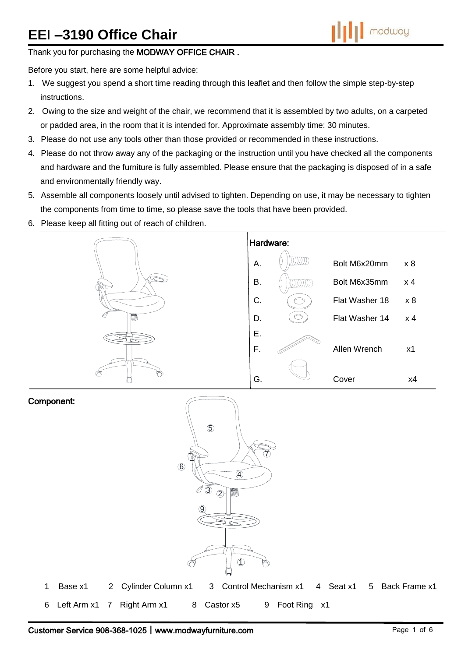# **EE**I **–3190 Office Chair**



Thank you for purchasing the MODWAY OFFICE CHAIR.

Before you start, here are some helpful advice:

- 1. We suggest you spend a short time reading through this leaflet and then follow the simple step-by-step instructions.
- 2. Owing to the size and weight of the chair, we recommend that it is assembled by two adults, on a carpeted or padded area, in the room that it is intended for. Approximate assembly time: 30 minutes.
- 3. Please do not use any tools other than those provided or recommended in these instructions.
- 4. Please do not throw away any of the packaging or the instruction until you have checked all the components and hardware and the furniture is fully assembled. Please ensure that the packaging is disposed of in a safe and environmentally friendly way.
- 5. Assemble all components loosely until advised to tighten. Depending on use, it may be necessary to tighten the components from time to time, so please save the tools that have been provided.
- 6. Please keep all fitting out of reach of children.



#### Component:

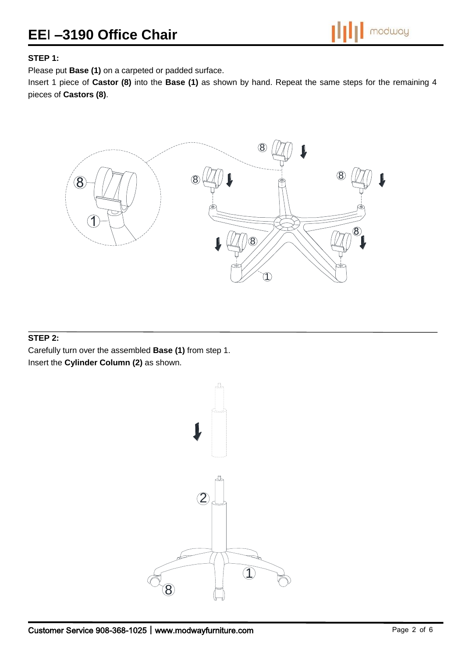## **EE**I **–3190 Office Chair**

### **STEP 1:**

Please put **Base (1)** on a carpeted or padded surface.

Insert 1 piece of **Castor (8)** into the **Base (1)** as shown by hand. Repeat the same steps for the remaining 4 pieces of **Castors (8)**.



### **STEP 2:**

Carefully turn over the assembled **Base (1)** from step 1. Insert the **Cylinder Column (2)** as shown.

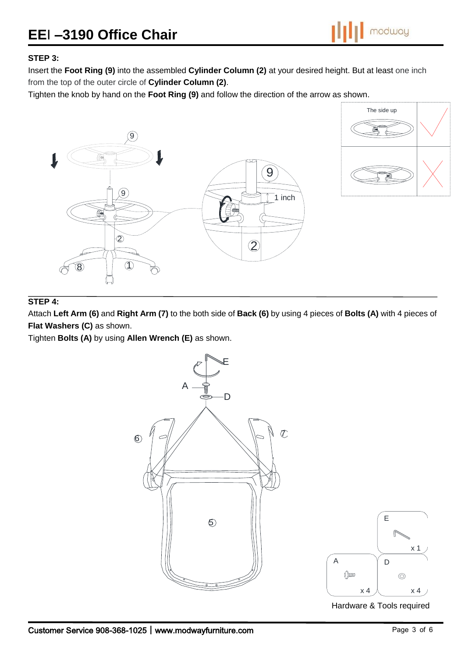# **EE**I **–3190 Office Chair**

modway

### **STEP 3:**

Insert the **Foot Ring (9)** into the assembled **Cylinder Column (2)** at your desired height. But at least one inch from the top of the outer circle of **Cylinder Column (2)**.

Tighten the knob by hand on the **Foot Ring (9)** and follow the direction of the arrow as shown.





### **STEP 4:**

Attach **Left Arm (6)** and **Right Arm (7)** to the both side of **Back (6)** by using 4 pieces of **Bolts (A)** with 4 pieces of **Flat Washers (C)** as shown.

Tighten **Bolts (A)** by using **Allen Wrench (E)** as shown.

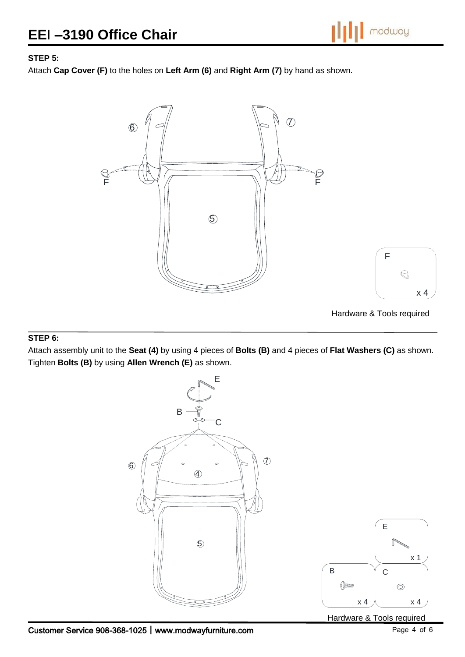## **STEP 5:**

Attach **Cap Cover (F)** to the holes on **Left Arm (6)** and **Right Arm (7)** by hand as shown.



#### **STEP 6:**

Attach assembly unit to the **Seat (4)** by using 4 pieces of **Bolts (B)** and 4 pieces of **Flat Washers (C)** as shown. Tighten **Bolts (B)** by using **Allen Wrench (E)** as shown.



Hardware & Tools required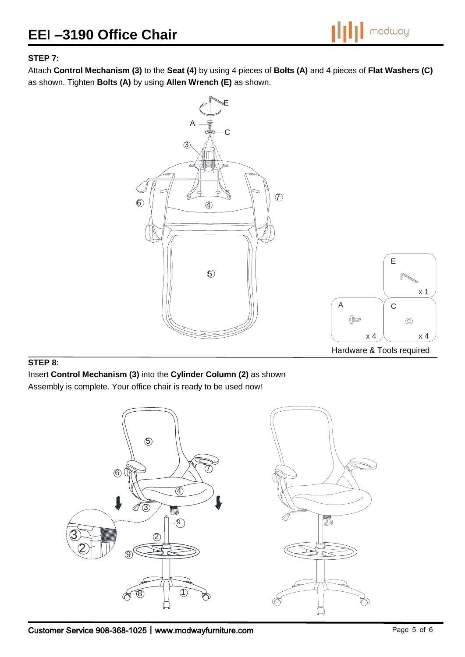

## **STEP 7:**

Attach **Control Mechanism (3)** to the **Seat (4)** by using 4 pieces of **Bolts (A)** and 4 pieces of **Flat Washers (C)** as shown. Tighten **Bolts (A)** by using **Allen Wrench (E)** as shown.



### **STEP 8:**

Insert **Control Mechanism (3)** into the **Cylinder Column (2)** as shown

Assembly is complete. Your office chair is ready to be used now!